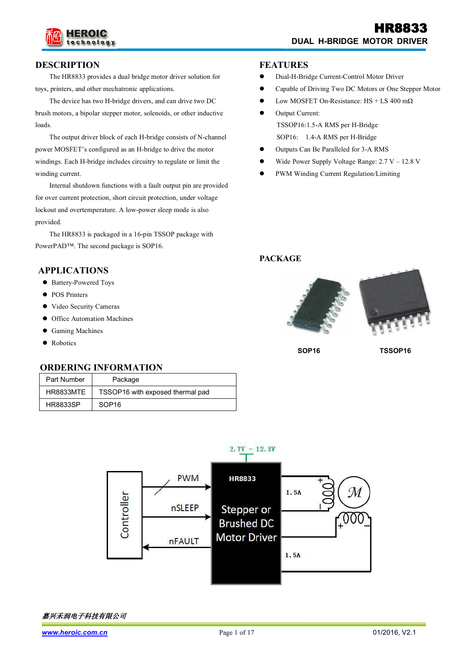

#### **DESCRIPTION**

The HR8833 provides a dual bridge motor driver solution for toys, printers, and other mechatronic applications.

The device has two H-bridge drivers, and can drive two DC brush motors, a bipolar stepper motor, solenoids, or other inductive loads.<br>The output driver block of each H-bridge consists of N-channel

power MOSFET's configured as an H-bridge to drive the motor windings. Each H-bridge includes circuitry to regulate or limit the winding current.

Internal shutdown functions with a fault output pin are provided for over current protection, short circuit protection, under voltage lockout and overtemperature. A low-power sleep mode is also provided.

The HR8833 is packaged in a 16-pin TSSOP package with PowerPAD™. The second package is SOP16.

#### **APPLICATIONS**

- Battery-Powered Toys
- POS Printers
- Video Security Cameras
- **•** Office Automation Machines
- **•** Gaming Machines
- Robotics

#### **ORDERING INFORMATION**

| Part Number     | Package                          |
|-----------------|----------------------------------|
| HR8833MTE       | TSSOP16 with exposed thermal pad |
| <b>HR8833SP</b> | SOP <sub>16</sub>                |

#### **FEATURES**

- Dual-H-Bridge Current-Control Motor Driver
- Capable of Driving Two DC Motors or One Stepper Motor
- Low MOSFET On-Resistance:  $HS + LS$  400 m $\Omega$
- Output Current: TSSOP16:1.5-A RMS per H-Bridge SOP16: 1.4-A RMS per H-Bridge
- Outputs Can Be Paralleled for 3-A RMS
- Wide Power Supply Voltage Range:2.7 V 12.8 V
- PWM Winding Current Regulation/Limiting

#### **PACKAGE**



**SOP16 TSSOP16**

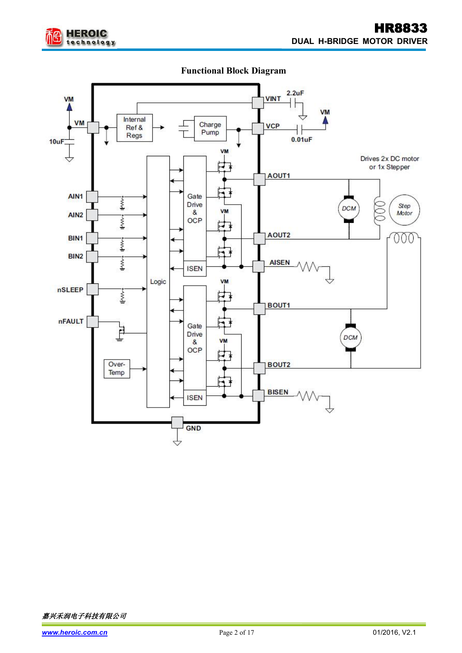

## **Functional Block Diagram**

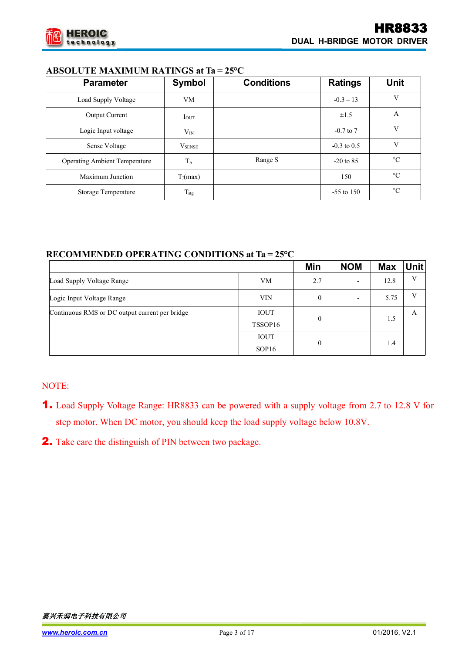

## **ABSOLUTE MAXIMUM RATINGS at Ta = 25°C**

| <b>Parameter</b>                     | Symbol          | <b>Conditions</b> | <b>Ratings</b> | <b>Unit</b>     |
|--------------------------------------|-----------------|-------------------|----------------|-----------------|
| Load Supply Voltage                  | VM              |                   | $-0.3 - 13$    | V               |
| <b>Output Current</b>                | $I_{OUT}$       |                   | $\pm 1.5$      | A               |
| Logic Input voltage                  | $\rm V_{IN}$    |                   | $-0.7$ to $7$  | V               |
| Sense Voltage                        | $V_{\rm SENSE}$ |                   | $-0.3$ to 0.5  | V               |
| <b>Operating Ambient Temperature</b> | $T_A$           | Range S           | $-20$ to 85    | $\rm ^{\circ}C$ |
| Maximum Junction                     | $T_J(max)$      |                   | 150            | $\rm ^{\circ}C$ |
| <b>Storage Temperature</b>           | $T_{\rm stg}$   |                   | $-55$ to 150   | $\rm ^{\circ}C$ |

## **RECOMMENDED OPERATING CONDITIONS at Ta = 25°C**

|                                                |                   | Min            | <b>NOM</b>               | <b>Max</b> | <b>Unit</b>  |
|------------------------------------------------|-------------------|----------------|--------------------------|------------|--------------|
| Load Supply Voltage Range                      | VM                | 2.7            | $\overline{\phantom{0}}$ | 12.8       | V            |
| Logic Input Voltage Range                      | <b>VIN</b>        | $\overline{0}$ | $\overline{\phantom{0}}$ | 5.75       | $\mathbf{V}$ |
| Continuous RMS or DC output current per bridge | <b>IOUT</b>       | $\mathbf{0}$   |                          |            | A            |
|                                                | TSSOP16           |                |                          | 1.5        |              |
|                                                | <b>IOUT</b>       | $\mathbf{0}$   |                          | 1.4        |              |
|                                                | SOP <sub>16</sub> |                |                          |            |              |

## NOTE:

- 1. Load Supply Voltage Range:HR8833 can be powered with a supply voltage from 2.7 to 12.8 V for step motor. When DC motor, you should keep the load supply voltage below 10.8V.
- 2. Take care the distinguish of PIN between two package.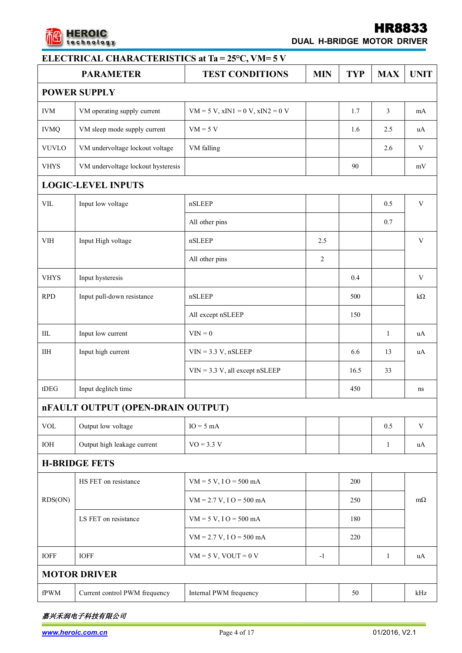

# HR8833

**DUAL H-BRIDGE MOTOR DRIVER**

|                            | <b>PARAMETER</b>                   | <b>TEST CONDITIONS</b>                   | <b>MIN</b>     | <b>TYP</b> | <b>MAX</b>   | <b>UNIT</b>             |  |
|----------------------------|------------------------------------|------------------------------------------|----------------|------------|--------------|-------------------------|--|
|                            | <b>POWER SUPPLY</b>                |                                          |                |            |              |                         |  |
| <b>IVM</b>                 | VM operating supply current        | $VM = 5 V$ , $xIN1 = 0 V$ , $xIN2 = 0 V$ |                | 1.7        | 3            | mA                      |  |
| <b>IVMQ</b>                | VM sleep mode supply current       | $VM = 5 V$                               |                | 1.6        | 2.5          | uA                      |  |
| <b>VUVLO</b>               | VM undervoltage lockout voltage    | VM falling                               |                |            | 2.6          | $\mathbf V$             |  |
| <b>VHYS</b>                | VM undervoltage lockout hysteresis |                                          |                | 90         |              | mV                      |  |
|                            | <b>LOGIC-LEVEL INPUTS</b>          |                                          |                |            |              |                         |  |
| VIL                        | Input low voltage                  | nSLEEP                                   |                |            | 0.5          | $\mathbf V$             |  |
|                            |                                    | All other pins                           |                |            | $0.7\,$      |                         |  |
| VIH                        | Input High voltage                 | nSLEEP                                   | 2.5            |            |              | $\mathbf V$             |  |
|                            |                                    | All other pins                           | $\overline{2}$ |            |              |                         |  |
| <b>VHYS</b>                | Input hysteresis                   |                                          |                | 0.4        |              | $\mathbf V$             |  |
| RPD                        | Input pull-down resistance         | nSLEEP                                   |                | 500        |              | $k\Omega$               |  |
|                            |                                    | All except nSLEEP                        |                | 150        |              |                         |  |
| $\rm IIL$                  | Input low current                  | $VIN = 0$                                |                |            | $\mathbf{1}$ | uA                      |  |
| IIH                        | Input high current                 | $VIN = 3.3 V$ , nSLEEP                   |                | 6.6        | 13           | uA                      |  |
|                            |                                    | $VIN = 3.3 V$ , all except nSLEEP        |                | 16.5       | 33           |                         |  |
| $t$ DEG                    | Input deglitch time                |                                          |                | 450        |              | ns                      |  |
|                            | nFAULT OUTPUT (OPEN-DRAIN OUTPUT)  |                                          |                |            |              |                         |  |
| $\ensuremath{\text{VOL}}$  | Output low voltage                 | $IO = 5 mA$                              |                |            | 0.5          | $\ensuremath{\text{V}}$ |  |
| IOH                        | Output high leakage current        | $VO = 3.3 V$                             |                |            | 1            | uA                      |  |
|                            | <b>H-BRIDGE FETS</b>               |                                          |                |            |              |                         |  |
|                            | HS FET on resistance               | $VM = 5 V, I O = 500 mA$                 |                | 200        |              |                         |  |
| RDS(ON)                    |                                    | $VM = 2.7 V, I O = 500 mA$               |                | 250        |              | $m\Omega$               |  |
|                            | LS FET on resistance               | $VM = 5 V, I O = 500 mA$                 |                | 180        |              |                         |  |
|                            |                                    | $VM = 2.7 V, I O = 500 mA$               |                | 220        |              |                         |  |
| <b>IOFF</b>                | <b>IOFF</b>                        | $VM = 5 V$ , $VOUT = 0 V$                | $-1$           |            | $\mathbf{1}$ | uA                      |  |
|                            | <b>MOTOR DRIVER</b>                |                                          |                |            |              |                         |  |
| ${\rm f} {\rm P} {\rm WM}$ | Current control PWM frequency      | Internal PWM frequency                   |                | 50         |              | kHz                     |  |
|                            |                                    |                                          |                |            |              |                         |  |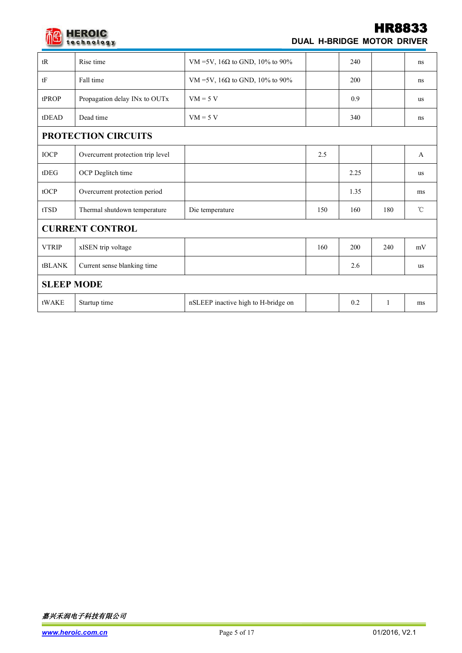

## HR8833 **DUAL H-BRIDGE MOTOR DRIVER**

| tR                     | Rise time                         | VM =5V, 16Ω to GND, 10% to 90%         |     | 240  |     | ns                |
|------------------------|-----------------------------------|----------------------------------------|-----|------|-----|-------------------|
| $\mathrm{t}\mathrm{F}$ | Fall time                         | VM =5V, 16 $\Omega$ to GND, 10% to 90% |     | 200  |     | ns                |
| tPROP                  | Propagation delay INx to OUTx     | $VM = 5 V$                             |     | 0.9  |     | us                |
| tDEAD                  | Dead time                         | $VM = 5 V$                             |     | 340  |     | ns                |
|                        | PROTECTION CIRCUITS               |                                        |     |      |     |                   |
| <b>IOCP</b>            | Overcurrent protection trip level |                                        | 2.5 |      |     | $\mathbf{A}$      |
| $t$ DEG                | OCP Deglitch time                 |                                        |     | 2.25 |     | us                |
| tOCP                   | Overcurrent protection period     |                                        |     | 1.35 |     | ms                |
| tTSD                   | Thermal shutdown temperature      | Die temperature                        | 150 | 160  | 180 | $^\circ\!{\rm C}$ |
|                        | <b>CURRENT CONTROL</b>            |                                        |     |      |     |                   |
| <b>VTRIP</b>           | xISEN trip voltage                |                                        | 160 | 200  | 240 | mV                |
| tBLANK                 | Current sense blanking time       |                                        |     | 2.6  |     | us                |
| <b>SLEEP MODE</b>      |                                   |                                        |     |      |     |                   |
| tWAKE                  | Startup time                      | nSLEEP inactive high to H-bridge on    |     | 0.2  | -1  | ms                |
|                        |                                   |                                        |     |      |     |                   |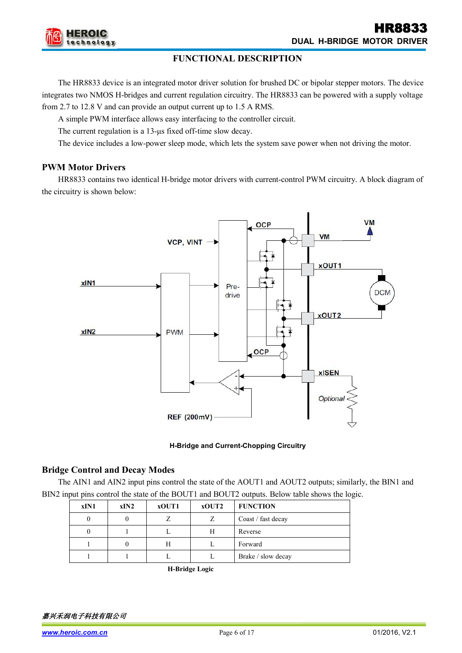

#### **FUNCTIONAL DESCRIPTION**

The HR8833 device is an integrated motor driver solution for brushed DC or bipolar stepper motors. The device integrates two NMOS H-bridges and current regulation circuitry. The HR8833 can be powered with a supply voltage from 2.7 to 12.8 V and can provide an output current up to 1.5 A RMS.

A simple PWM interface allows easy interfacing to the controller circuit.

The current regulation is a 13-μs fixed off-time slow decay.

The device includes a low-power sleep mode, which lets the system save power when not driving the motor.

#### **PWM Motor Drivers**

HR8833 contains two identical H-bridge motor drivers with current-control PWM circuitry. A block diagram of the circuitry is shown below:



#### **H-Bridge and Current-Chopping Circuitry**

#### **Bridge Control and Decay Modes**

The AIN1 and AIN2 input pins control the state of the AOUT1 and AOUT2 outputs; similarly, the BIN1 and BIN2 input pins control the state of the BOUT1 and BOUT2 outputs. Below table shows the logic.

| xIN1 | xIN2 | xOUT1 | xOUT2 | <b>FUNCTION</b>    |
|------|------|-------|-------|--------------------|
|      |      |       |       | Coast / fast decay |
|      |      |       | Н     | Reverse            |
|      |      |       |       | Forward            |
|      |      |       |       | Brake / slow decay |

**H-Bridge Logic**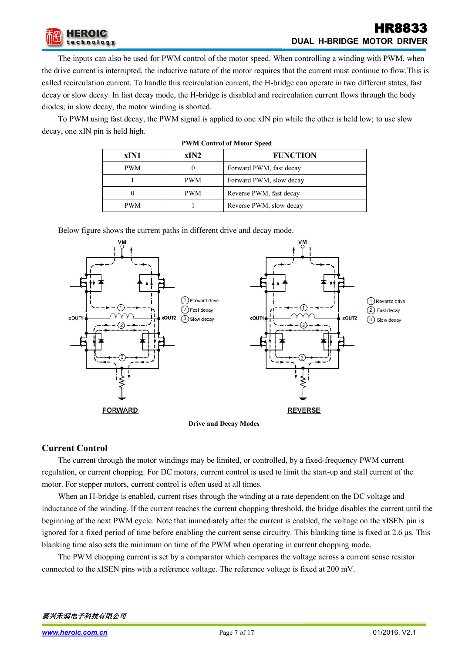

## HR8833 **DUAL H-BRIDGE MOTOR DRIVER**

The inputs can also be used for PWM control of the motor speed. When controlling a winding with PWM, when the drive current is interrupted, the inductive nature of the motor requires that the current must continue to flow.This is called recirculation current. To handle this recirculation current, the H-bridge can operate in two different states, fast decay or slow decay. In fast decay mode, the H-bridge is disabled and recirculation current flows through the body diodes; in slow decay, the motor winding is shorted.

To PWM using fast decay, the PWM signal is applied to one xIN pin while the other is held low; to use slow decay, one xIN pin is held high.

| <b>PWM Control of Motor Speed</b> |            |                         |  |  |  |  |
|-----------------------------------|------------|-------------------------|--|--|--|--|
| xIN1                              | xIN2       | <b>FUNCTION</b>         |  |  |  |  |
| <b>PWM</b>                        | $\theta$   | Forward PWM, fast decay |  |  |  |  |
|                                   | <b>PWM</b> | Forward PWM, slow decay |  |  |  |  |
| $\theta$                          | <b>PWM</b> | Reverse PWM, fast decay |  |  |  |  |
| <b>PWM</b>                        |            | Reverse PWM, slow decay |  |  |  |  |



Below figure shows the current paths in different drive and decay mode.



## **Current Control**

The current through the motor windings may be limited, or controlled, by a fixed-frequency PWM current regulation, or current chopping. For DC motors, current control is used to limit the start-up and stall current of the motor. For stepper motors, current control is often used at all times.

When an H-bridge is enabled, current rises through the winding at a rate dependent on the DC voltage and inductance of the winding. If the current reaches the current chopping threshold, the bridge disables the current until the beginning of the next PWM cycle. Note that immediately after the current is enabled, the voltage on the xISEN pin is ignored for a fixed period of time before enabling the current sense circuitry. This blanking time is fixed at 2.6 μs. This blanking time also sets the minimum on time of the PWM when operating in current chopping mode.

The PWM chopping current is set by a comparator which compares the voltage across a current sense resistor connected to the xISEN pins with a reference voltage. The reference voltage is fixed at 200 mV.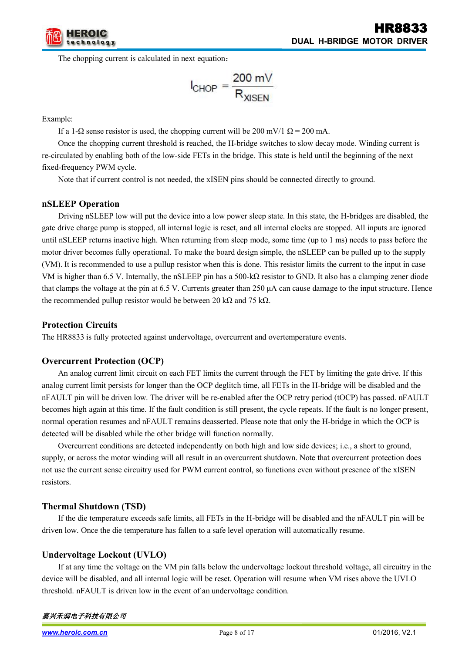

The chopping current is calculated in next equation:

$$
I_{CHOP} = \frac{200 \text{ mV}}{R_{XISEN}}
$$

Example:

If a 1- $\Omega$  sense resistor is used, the chopping current will be 200 mV/1  $\Omega$  = 200 mA.

Once the chopping current threshold is reached, the H-bridge switches to slow decay mode. Winding current is re-circulated by enabling both of the low-side FETs in the bridge. This state is held until the beginning of the next fixed-frequency PWM cycle.

Note that if current control is not needed, the xISEN pins should be connected directly to ground.

#### **nSLEEP Operation**

Driving nSLEEP low will put the device into a low power sleep state. In this state, the H-bridges are disabled, the gate drive charge pump is stopped, all internal logic is reset, and all internal clocks are stopped. All inputs are ignored until nSLEEP returns inactive high. When returning from sleep mode, some time (up to 1 ms) needs to pass before the motor driver becomes fully operational. To make the board design simple, the nSLEEP can be pulled up to the supply (VM). It is recommended to use a pullup resistor when this is done. This resistor limits the current to the input in case VM is higher than 6.5 V. Internally, the nSLEEP pin has a 500-kΩ resistor to GND. It also has a clamping zener diode that clamps the voltage at the pin at 6.5 V. Currents greater than 250 μA can cause damage to the input structure. Hence the recommended pullup resistor would be between 20 kΩ and 75 kΩ.

#### **Protection Circuits**

The HR8833 is fully protected against undervoltage, overcurrent and overtemperature events.

#### **Overcurrent Protection (OCP)**

An analog current limit circuit on each FET limits the current through the FET by limiting the gate drive. If this analog current limit persists for longer than the OCP deglitch time, all FETs in the H-bridge will be disabled and the nFAULT pin will be driven low. The driver will be re-enabled after the OCP retry period (tOCP)has passed. nFAULT becomes high again at this time. If the fault condition is still present, the cycle repeats. If the fault is no longer present, normal operation resumes and nFAULT remains deasserted. Please note that only the H-bridge in which the OCP is detected will be disabled while the other bridge will function normally.

Overcurrent conditions are detected independently on both high and low side devices; i.e., a short to ground, supply, or across the motor winding will all result in an overcurrent shutdown. Note that overcurrent protection does not use the current sense circuitry used for PWM current control, so functions even without presence of the xISEN resistors.

#### **Thermal Shutdown (TSD)**

If the die temperature exceeds safe limits, all FETs in the H-bridge will be disabled and the nFAULT pin will be driven low. Once the die temperature has fallen to a safe level operation will automatically resume.

#### **Undervoltage Lockout (UVLO)**

If at any time the voltage on the VM pin falls below the undervoltage lockout threshold voltage, all circuitry in the device will be disabled, and all internal logic will be reset. Operation will resume when VM rises above the UVLO threshold. nFAULT is driven low in the event of an undervoltage condition.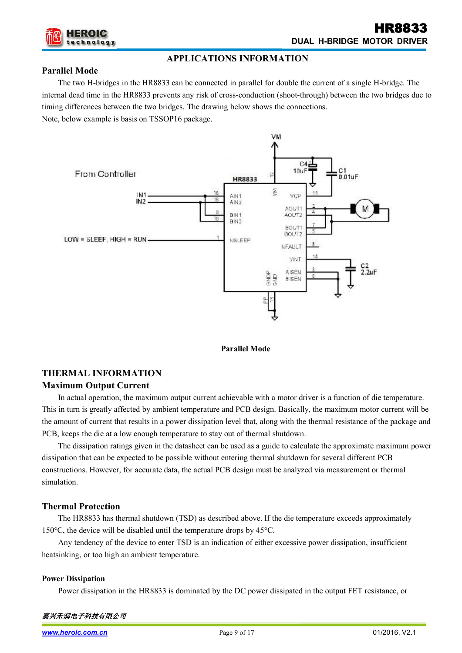

#### **Parallel Mode**

The two H-bridges in the HR8833 can be connected in parallel for double the current of a single H-bridge. The internal dead time in the HR8833 prevents any risk of cross-conduction (shoot-through) between the two bridges due to timing differences between the two bridges. The drawing below shows the connections.

**APPLICATIONS INFORMATION**

Note, below example is basis on TSSOP16 package.



**Parallel Mode**

## **THERMAL INFORMATION Maximum Output Current**

In actual operation, the maximum output current achievable with a motor driver is a function of die temperature. This in turn is greatly affected by ambient temperature and PCB design. Basically, the maximum motor current will be the amount of current that results in a power dissipation level that, along with the thermal resistance of the package and PCB, keeps the die at a low enough temperature to stay out of thermal shutdown.

The dissipation ratings given in the datasheet can be used as a guide to calculate the approximate maximum power dissipation that can be expected to be possible without entering thermal shutdown for several different PCB constructions. However, for accurate data, the actual PCB design must be analyzed via measurement or thermal simulation.

## **Thermal Protection**

The HR8833 has thermal shutdown (TSD) as described above. If the die temperature exceeds approximately 150°C, the device will be disabled until the temperature drops by 45°C.

Any tendency of the device to enter TSD is an indication of either excessive power dissipation, insufficient heatsinking, or too high an ambient temperature.

#### **Power Dissipation**

Power dissipation in the HR8833 is dominated by the DC power dissipated in the output FET resistance, or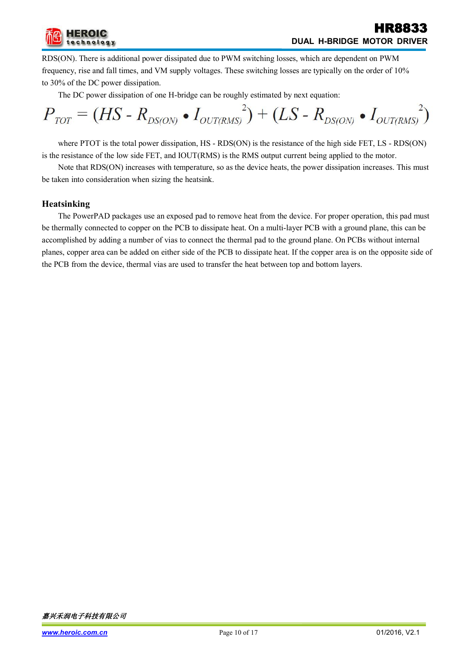

RDS(ON). There is additional power dissipated due to PWM switching losses, which are dependent on PWM frequency, rise and fall times, and VM supply voltages. These switching losses are typically on the order of 10% to 30% of the DC power dissipation.

The DC power dissipation of one H-bridge can be roughly estimated by next equation:

$$
P_{\text{TOT}} = (HS - R_{DS(ON)} \bullet I_{OUT(RMS)}) + (LS - R_{DS(ON)} \bullet I_{OUT(RMS)})^{2})
$$

where PTOT is the total power dissipation, HS - RDS(ON) is the resistance of the high side FET, LS - RDS(ON) is the resistance of the low side FET, and IOUT(RMS) is the RMS output current being applied to the motor.

Note that RDS(ON) increases with temperature, so as the device heats, the power dissipation increases. This must be taken into consideration when sizing the heatsink.

#### **Heatsinking**

The PowerPAD packages use an exposed pad to remove heat from the device. For proper operation, this pad must be thermally connected to copper on the PCB to dissipate heat. On a multi-layer PCB with a ground plane, this can be accomplished by adding a number of vias to connect the thermal pad to the ground plane. On PCBs without internal planes, copper area can be added on either side of the PCB to dissipate heat. If the copper area is on the opposite side of the PCB from the device, thermal vias are used to transfer the heat between top and bottom layers.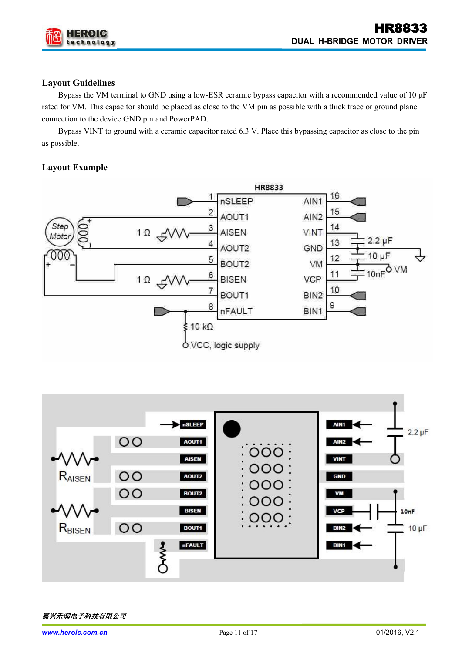

## **Layout Guidelines**

Bypass the VM terminal to GND using a low-ESR ceramic bypass capacitor with a recommended value of 10 μF rated for VM. This capacitor should be placed as close to the VM pin as possible with a thick trace or ground plane connection to the device GND pin and PowerPAD.

Bypass VINT to ground with a ceramic capacitor rated 6.3 V. Place this bypassing capacitor as close to the pin as possible.

## **Layout Example**



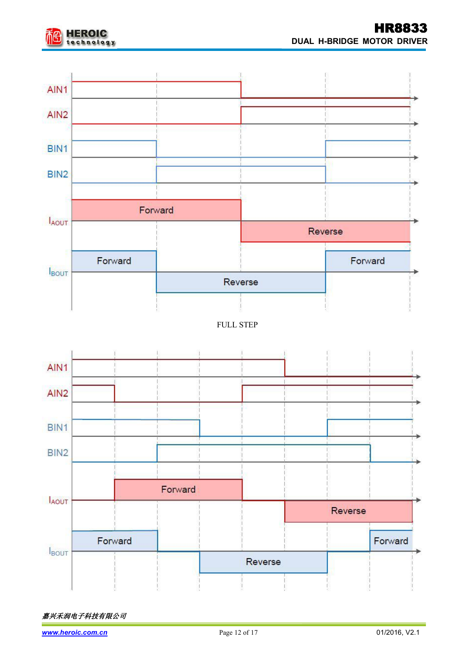

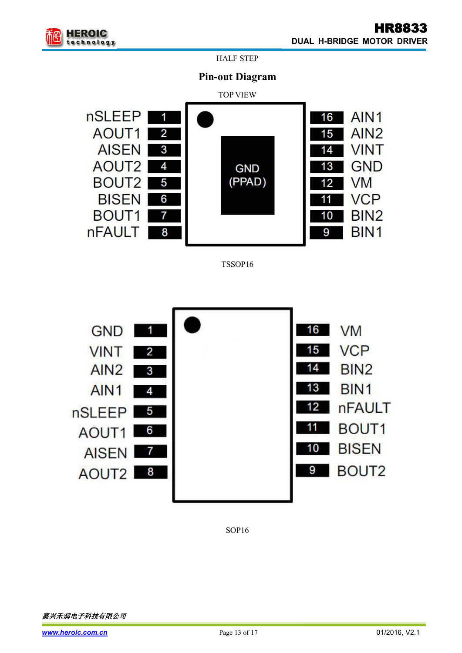

HALF STEP

## **Pin-out Diagram**



TSSOP16



SOP16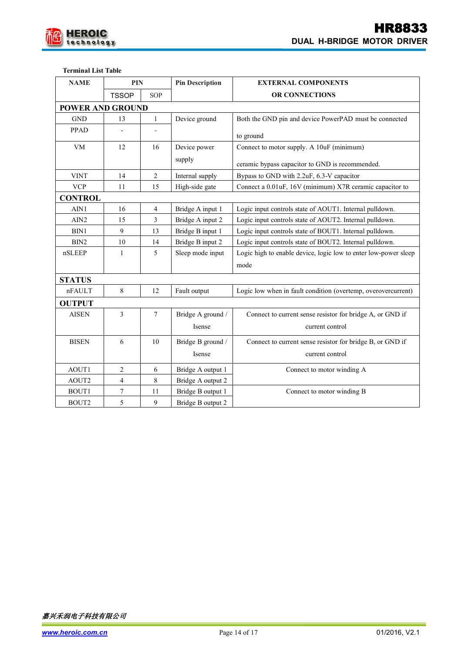

#### **Terminal List Table**

| <b>NAME</b>             | PIN                      |                | <b>Pin Description</b> | <b>EXTERNAL COMPONENTS</b>                                      |  |
|-------------------------|--------------------------|----------------|------------------------|-----------------------------------------------------------------|--|
|                         | <b>TSSOP</b>             | <b>SOP</b>     |                        | OR CONNECTIONS                                                  |  |
| <b>POWER AND GROUND</b> |                          |                |                        |                                                                 |  |
| <b>GND</b>              | 13                       | $\mathbf{1}$   | Device ground          | Both the GND pin and device PowerPAD must be connected          |  |
| PPAD                    |                          |                |                        |                                                                 |  |
|                         |                          |                |                        | to ground                                                       |  |
| VM                      | 12                       | 16             | Device power           | Connect to motor supply. A 10uF (minimum)                       |  |
|                         |                          |                | supply                 | ceramic bypass capacitor to GND is recommended.                 |  |
| <b>VINT</b>             | 14                       | 2              | Internal supply        | Bypass to GND with 2.2uF, 6.3-V capacitor                       |  |
| <b>VCP</b>              | 11                       | 15             | High-side gate         | Connect a 0.01uF, 16V (minimum) X7R ceramic capacitor to        |  |
| <b>CONTROL</b>          |                          |                |                        |                                                                 |  |
| AIN1                    | 16                       | $\overline{4}$ | Bridge A input 1       | Logic input controls state of AOUT1. Internal pulldown.         |  |
| AIN2                    | 15                       | 3              | Bridge A input 2       | Logic input controls state of AOUT2. Internal pulldown.         |  |
| BIN1                    | 9                        | 13             | Bridge B input 1       | Logic input controls state of BOUT1. Internal pulldown.         |  |
| BIN <sub>2</sub>        | 10                       | 14             | Bridge B input 2       | Logic input controls state of BOUT2. Internal pulldown.         |  |
| nSLEEP                  | $\mathbf{1}$             | 5              | Sleep mode input       | Logic high to enable device, logic low to enter low-power sleep |  |
|                         |                          |                |                        | mode                                                            |  |
| <b>STATUS</b>           |                          |                |                        |                                                                 |  |
| nFAULT                  | 8                        | 12             | Fault output           | Logic low when in fault condition (overtemp, overovercurrent)   |  |
| <b>OUTPUT</b>           |                          |                |                        |                                                                 |  |
| <b>AISEN</b>            | 3                        | $\tau$         | Bridge A ground /      | Connect to current sense resistor for bridge A, or GND if       |  |
|                         |                          |                | Isense                 | current control                                                 |  |
| <b>BISEN</b>            | 6                        | 10             | Bridge B ground /      | Connect to current sense resistor for bridge B, or GND if       |  |
|                         |                          |                | Isense                 | current control                                                 |  |
| AOUT1                   | $\overline{2}$           | 6              | Bridge A output 1      | Connect to motor winding A                                      |  |
| AOUT2                   | $\overline{\mathcal{A}}$ | 8              | Bridge A output 2      |                                                                 |  |
| BOUT1                   | $\overline{7}$           | 11             | Bridge B output 1      | Connect to motor winding B                                      |  |
| BOUT2                   | 5                        | 9              | Bridge B output 2      |                                                                 |  |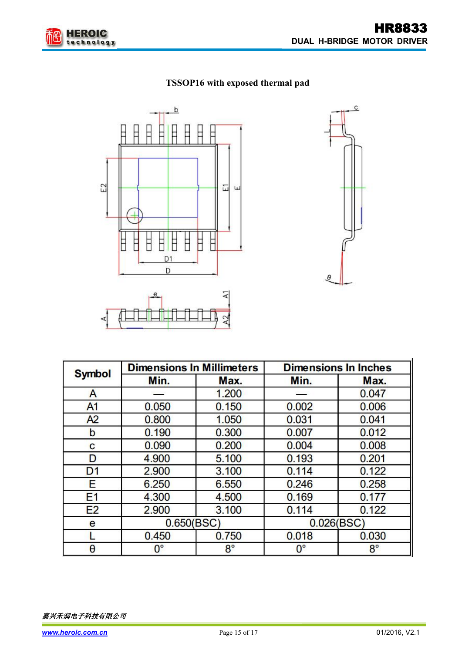

## **TSSOP16 with exposed thermal pad**





| <b>Symbol</b>  |             | <b>Dimensions In Millimeters</b> | <b>Dimensions In Inches</b> |             |  |
|----------------|-------------|----------------------------------|-----------------------------|-------------|--|
|                | Min.        | Max.                             | Min.                        | Max.        |  |
| A              |             | 1.200                            |                             | 0.047       |  |
| A <sub>1</sub> | 0.050       | 0.150                            | 0.002                       | 0.006       |  |
| A2             | 0.800       | 1.050                            | 0.031                       | 0.041       |  |
| b              | 0.190       | 0.300                            | 0.007                       | 0.012       |  |
| C              | 0.090       | 0.200                            | 0.004                       | 0.008       |  |
| D              | 4.900       | 5.100                            | 0.193                       | 0.201       |  |
| D <sub>1</sub> | 2.900       | 3.100                            | 0.114                       | 0.122       |  |
| Е              | 6.250       | 6.550                            | 0.246                       | 0.258       |  |
| E <sub>1</sub> | 4.300       | 4.500                            | 0.169                       | 0.177       |  |
| E2             | 2.900       | 3.100                            | 0.114                       | 0.122       |  |
| e              | 0.650(BSC)  |                                  | 0.026(BSC)                  |             |  |
|                | 0.450       | 0.750                            | 0.018                       | 0.030       |  |
| $\theta$       | $0^{\circ}$ | $8^{\circ}$                      | $0^{\circ}$                 | $8^{\circ}$ |  |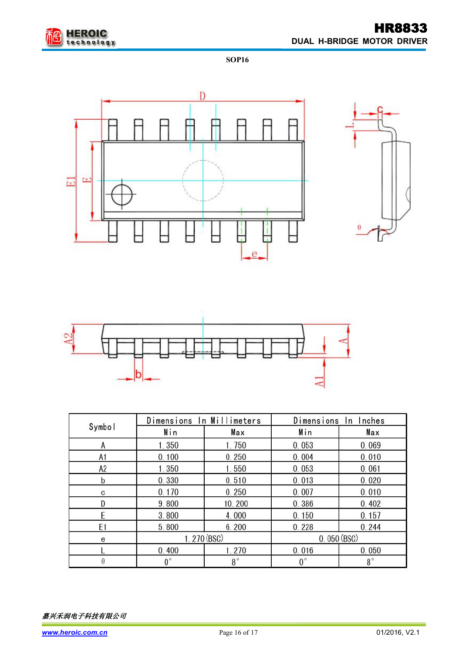

**SOP16**







|                |             | Dimensions In Millimeters |             | Dimensions In Inches |  |
|----------------|-------------|---------------------------|-------------|----------------------|--|
| Symbol         | Min         | Max                       | Min         | Max                  |  |
| A              | 1.350       | 1.750                     | 0.053       | 0.069                |  |
| A1             | 0.100       | 0.250                     | 0.004       | 0.010                |  |
| A <sub>2</sub> | 1.350       | 1.550                     | 0.053       | 0.061                |  |
| b              | 0.330       | 0.510                     | 0.013       | 0.020                |  |
| C              | 0.170       | 0.250                     | 0.007       | 0.010                |  |
|                | 9.800       | 10.200                    | 0.386       | 0.402                |  |
|                | 3.800       | 4.000                     | 0.150       | 0.157                |  |
| E1             | 5.800       | 6.200                     | 0.228       | 0.244                |  |
| e              | 1.270(BSC)  |                           |             | 0.050(BSC)           |  |
|                | 0.400       | 1.270                     | 0.016       | 0.050                |  |
| θ              | $0^{\circ}$ | $8^{\circ}$               | $0^{\circ}$ | $8^{\circ}$          |  |